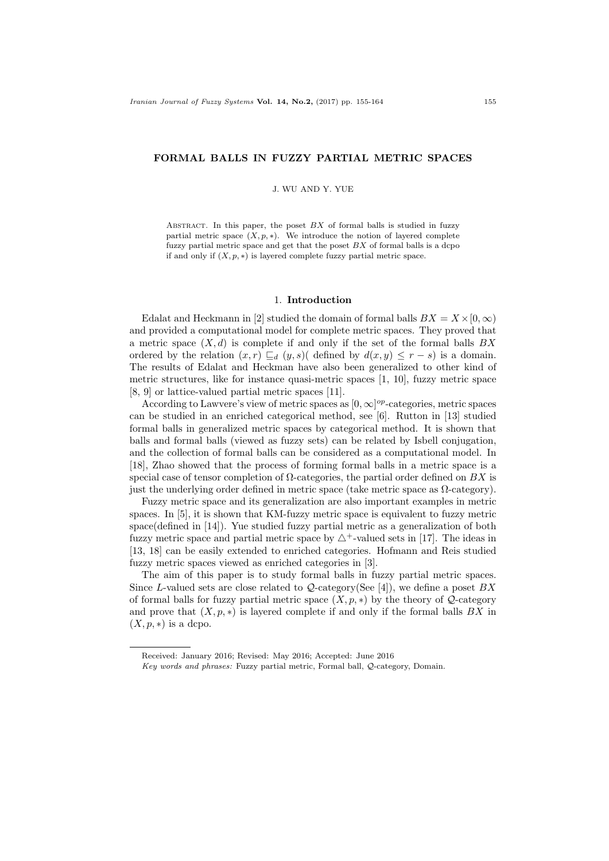### FORMAL BALLS IN FUZZY PARTIAL METRIC SPACES

J. WU AND Y. YUE

ABSTRACT. In this paper, the poset  $BX$  of formal balls is studied in fuzzy partial metric space  $(X, p, *)$ . We introduce the notion of layered complete fuzzy partial metric space and get that the poset  $BX$  of formal balls is a dcpo if and only if  $(X, p, *)$  is layered complete fuzzy partial metric space.

#### 1. Introduction

Edalat and Heckmann in [2] studied the domain of formal balls  $BX = X \times [0, \infty)$ and provided a computational model for complete metric spaces. They proved that a metric space  $(X, d)$  is complete if and only if the set of the formal balls  $BX$ ordered by the relation  $(x, r) \sqsubset_d (y, s)$  defined by  $d(x, y) \leq r - s$  is a domain. The results of Edalat and Heckman have also been generalized to other kind of metric structures, like for instance quasi-metric spaces [1, 10], fuzzy metric space [8, 9] or lattice-valued partial metric spaces [11].

According to Lawvere's view of metric spaces as  $[0, \infty]^{op}$ -categories, metric spaces can be studied in an enriched categorical method, see [6]. Rutton in [13] studied formal balls in generalized metric spaces by categorical method. It is shown that balls and formal balls (viewed as fuzzy sets) can be related by Isbell conjugation, and the collection of formal balls can be considered as a computational model. In [18], Zhao showed that the process of forming formal balls in a metric space is a special case of tensor completion of  $\Omega$ -categories, the partial order defined on  $BX$  is just the underlying order defined in metric space (take metric space as Ω-category).

Fuzzy metric space and its generalization are also important examples in metric spaces. In [5], it is shown that KM-fuzzy metric space is equivalent to fuzzy metric space(defined in [14]). Yue studied fuzzy partial metric as a generalization of both fuzzy metric space and partial metric space by  $\triangle^+$ -valued sets in [17]. The ideas in [13, 18] can be easily extended to enriched categories. Hofmann and Reis studied fuzzy metric spaces viewed as enriched categories in [3].

The aim of this paper is to study formal balls in fuzzy partial metric spaces. Since L-valued sets are close related to  $\mathcal{Q}\text{-category}(\text{See }[4])$ , we define a poset  $BX$ of formal balls for fuzzy partial metric space  $(X, p, *)$  by the theory of  $Q$ -category and prove that  $(X, p, *)$  is layered complete if and only if the formal balls  $BX$  in  $(X, p, *)$  is a dcpo.

Received: January 2016; Revised: May 2016; Accepted: June 2016

Key words and phrases: Fuzzy partial metric, Formal ball, Q-category, Domain.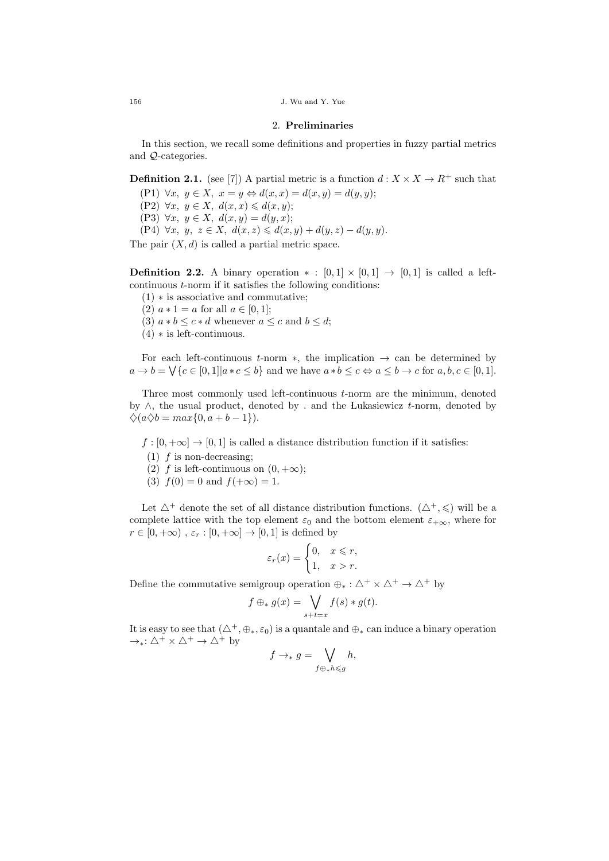$156$  J. Wu and Y. Yue

# 2. Preliminaries

In this section, we recall some definitions and properties in fuzzy partial metrics and Q-categories.

**Definition 2.1.** (see [7]) A partial metric is a function  $d: X \times X \to R^+$  such that

(P1)  $\forall x, y \in X, x = y \Leftrightarrow d(x, x) = d(x, y) = d(y, y);$ 

- (P2)  $\forall x, y \in X, d(x,x) \leq d(x,y);$
- (P3)  $\forall x, y \in X, d(x,y) = d(y,x);$

(P4)  $\forall x, y, z \in X$ ,  $d(x, z) \le d(x, y) + d(y, z) - d(y, y)$ .

The pair  $(X, d)$  is called a partial metric space.

**Definition 2.2.** A binary operation  $* : [0,1] \times [0,1] \rightarrow [0,1]$  is called a leftcontinuous t-norm if it satisfies the following conditions:

- (1) ∗ is associative and commutative;
- (2)  $a * 1 = a$  for all  $a \in [0, 1]$ ;
- (3)  $a * b \leq c * d$  whenever  $a \leq c$  and  $b \leq d$ ;
- $(4)$   $\ast$  is left-continuous.

For each left-continuous t-norm  $*$ , the implication  $\rightarrow$  can be determined by  $a \to b = \bigvee \{c \in [0,1] | a \ast c \leq b\}$  and we have  $a \ast b \leq c \Leftrightarrow a \leq b \to c$  for  $a, b, c \in [0,1]$ .

Three most commonly used left-continuous t-norm are the minimum, denoted by ∧, the usual product, denoted by . and the Lukasiewicz t-norm, denoted by  $\diamondsuit(a\diamondsuit b = max\{0, a+b-1\}).$ 

 $f : [0, +\infty] \to [0, 1]$  is called a distance distribution function if it satisfies:

- $(1)$  f is non-decreasing;
- (2) f is left-continuous on  $(0, +\infty);$
- (3)  $f(0) = 0$  and  $f(+\infty) = 1$ .

Let  $\Delta^+$  denote the set of all distance distribution functions.  $(\Delta^+, \leqslant)$  will be a complete lattice with the top element  $\varepsilon_0$  and the bottom element  $\varepsilon_{+\infty}$ , where for  $r \in [0, +\infty)$ ,  $\varepsilon_r : [0, +\infty] \to [0, 1]$  is defined by

$$
\varepsilon_r(x) = \begin{cases} 0, & x \leq r, \\ 1, & x > r. \end{cases}
$$

Define the commutative semigroup operation  $\oplus_* : \Delta^+ \times \Delta^+ \to \Delta^+$  by

$$
f \oplus_* g(x) = \bigvee_{s+t=x} f(s) * g(t).
$$

It is easy to see that  $(\Delta^+, \oplus_*, \varepsilon_0)$  is a quantale and  $\oplus_*$  can induce a binary operation  $\rightarrow_*: \triangle^+ \times \triangle^+ \rightarrow \triangle^+$  by

$$
f \to_* g = \bigvee_{f \oplus_* h \leq g} h,
$$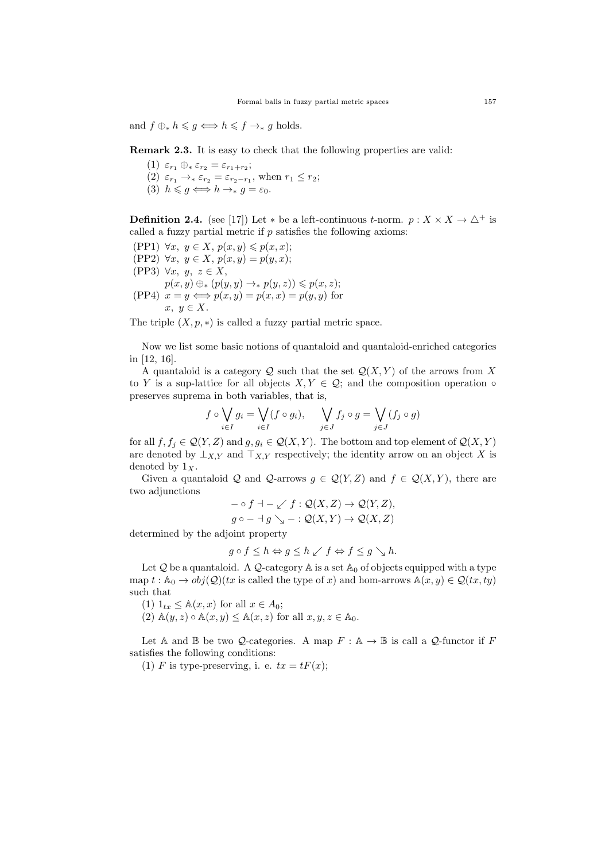and  $f \oplus_* h \leqslant g \Longleftrightarrow h \leqslant f \rightarrow_* g$  holds.

Remark 2.3. It is easy to check that the following properties are valid:

- (1)  $\varepsilon_{r_1} \oplus_* \varepsilon_{r_2} = \varepsilon_{r_1+r_2};$
- (2)  $\varepsilon_{r_1} \rightarrow_{\ast} \varepsilon_{r_2} = \varepsilon_{r_2-r_1}$ , when  $r_1 \leq r_2$ ;
- (3)  $h \leqslant q \Longleftrightarrow h \rightarrow_* q = \varepsilon_0$ .

**Definition 2.4.** (see [17]) Let  $*$  be a left-continuous t-norm.  $p: X \times X \to \triangle^+$  is called a fuzzy partial metric if  $p$  satisfies the following axioms:

(PP1)  $\forall x, y \in X, p(x,y) \leqslant p(x,x);$ (PP2)  $\forall x, y \in X, p(x,y) = p(y,x);$ (PP3)  $\forall x, y, z \in X$ ,  $p(x, y) \oplus_{\ast} (p(y, y) \rightarrow_{\ast} p(y, z)) \leqslant p(x, z);$ (PP4)  $x = y \Longleftrightarrow p(x, y) = p(x, x) = p(y, y)$  for  $x, y \in X$ .

The triple  $(X, p, *)$  is called a fuzzy partial metric space.

Now we list some basic notions of quantaloid and quantaloid-enriched categories in [12, 16].

A quantaloid is a category  $\mathcal{Q}$  such that the set  $\mathcal{Q}(X, Y)$  of the arrows from X to Y is a sup-lattice for all objects  $X, Y \in \mathcal{Q}$ ; and the composition operation  $\circ$ preserves suprema in both variables, that is,

$$
f \circ \bigvee_{i \in I} g_i = \bigvee_{i \in I} (f \circ g_i), \quad \bigvee_{j \in J} f_j \circ g = \bigvee_{j \in J} (f_j \circ g)
$$

for all  $f, f_j \in \mathcal{Q}(Y, Z)$  and  $g, g_i \in \mathcal{Q}(X, Y)$ . The bottom and top element of  $\mathcal{Q}(X, Y)$ are denoted by  $\perp_{X,Y}$  and  $\perp_{X,Y}$  respectively; the identity arrow on an object X is denoted by  $1_X$ .

Given a quantaloid Q and Q-arrows  $g \in \mathcal{Q}(Y, Z)$  and  $f \in \mathcal{Q}(X, Y)$ , there are two adjunctions

$$
- \circ f \dashv - \swarrow f : \mathcal{Q}(X, Z) \to \mathcal{Q}(Y, Z),
$$
  

$$
g \circ - \dashv g \searrow - : \mathcal{Q}(X, Y) \to \mathcal{Q}(X, Z)
$$

determined by the adjoint property

$$
g \circ f \le h \Leftrightarrow g \le h \swarrow f \Leftrightarrow f \le g \searrow h.
$$

Let Q be a quantaloid. A Q-category  $\mathbb A$  is a set  $\mathbb A_0$  of objects equipped with a type map  $t : A_0 \to obj(Q)(tx \text{ is called the type of } x)$  and hom-arrows  $A(x, y) \in Q(tx, ty)$ such that

- (1)  $1_{tx} \leq A(x, x)$  for all  $x \in A_0$ ;
- (2)  $\mathbb{A}(y, z) \circ \mathbb{A}(x, y) \leq \mathbb{A}(x, z)$  for all  $x, y, z \in \mathbb{A}_0$ .

Let A and B be two Q-categories. A map  $F : A \to B$  is call a Q-functor if F satisfies the following conditions:

(1) F is type-preserving, i. e.  $tx = tF(x)$ ;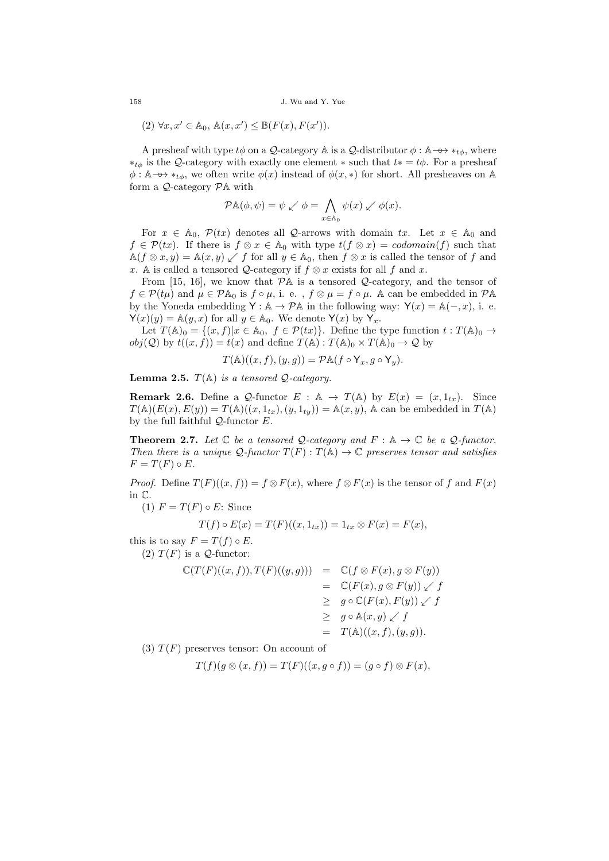158 J. Wu and Y. Yue

$$
(2) \ \forall x, x' \in \mathbb{A}_0, \ \mathbb{A}(x, x') \leq \mathbb{B}(F(x), F(x')).
$$

A presheaf with type  $t\phi$  on a Q-category A is a Q-distributor  $\phi : \mathbb{A} \longrightarrow *_{t\phi}$ , where  $*_{t\phi}$  is the Q-category with exactly one element  $*$  such that  $t* = t\phi$ . For a presheaf  $\phi: \mathbb{A} \longrightarrow *_{t\phi}$ , we often write  $\phi(x)$  instead of  $\phi(x, *)$  for short. All presheaves on A form a  $Q$ -category  $P$ A with

$$
\mathcal{P}\mathbb{A}(\phi,\psi) = \psi \swarrow \phi = \bigwedge_{x \in \mathbb{A}_0} \psi(x) \swarrow \phi(x).
$$

For  $x \in A_0$ ,  $\mathcal{P}(tx)$  denotes all Q-arrows with domain tx. Let  $x \in A_0$  and  $f \in \mathcal{P}(tx)$ . If there is  $f \otimes x \in \mathbb{A}_0$  with type  $t(f \otimes x) = codomain(f)$  such that  $\mathbb{A}(f \otimes x, y) = \mathbb{A}(x, y) \swarrow f$  for all  $y \in \mathbb{A}_0$ , then  $f \otimes x$  is called the tensor of f and x. A is called a tensored Q-category if  $f \otimes x$  exists for all f and x.

From [15, 16], we know that  $\mathcal{P}$ A is a tensored  $\mathcal{Q}$ -category, and the tensor of  $f \in \mathcal{P}(t\mu)$  and  $\mu \in \mathcal{P}\mathbb{A}_0$  is  $f \circ \mu$ , i. e.,  $f \otimes \mu = f \circ \mu$ . A can be embedded in  $\mathcal{P}\mathbb{A}$ by the Yoneda embedding  $Y : \mathbb{A} \to \mathcal{P}\mathbb{A}$  in the following way:  $Y(x) = \mathbb{A}(-,x)$ , i. e.  $\mathsf{Y}(x)(y) = \mathbb{A}(y, x)$  for all  $y \in \mathbb{A}_0$ . We denote  $\mathsf{Y}(x)$  by  $\mathsf{Y}_x$ .

Let  $T(\mathbb{A})_0 = \{(x, f)|x \in \mathbb{A}_0, f \in \mathcal{P}(tx)\}.$  Define the type function  $t : T(\mathbb{A})_0 \to$  $obj(Q)$  by  $t((x, f)) = t(x)$  and define  $T(\mathbb{A}): T(\mathbb{A})_0 \times T(\mathbb{A})_0 \to Q$  by

$$
T(\mathbb{A})((x, f), (y, g)) = \mathcal{P}\mathbb{A}(f \circ \mathsf{Y}_x, g \circ \mathsf{Y}_y).
$$

**Lemma 2.5.**  $T(A)$  is a tensored Q-category.

**Remark 2.6.** Define a Q-functor  $E : \mathbb{A} \to T(\mathbb{A})$  by  $E(x) = (x, 1_{tx})$ . Since  $T(\mathbb{A})(E(x), E(y)) = T(\mathbb{A})((x, 1_{tx}), (y, 1_{ty})) = \mathbb{A}(x, y)$ , A can be embedded in  $T(\mathbb{A})$ by the full faithful  $Q$ -functor  $E$ .

**Theorem 2.7.** Let  $\mathbb C$  be a tensored  $\mathcal Q$ -category and  $F : \mathbb A \to \mathbb C$  be a  $\mathcal Q$ -functor. Then there is a unique  $\mathcal{Q}\text{-}functor T(F): T(\mathbb{A}) \to \mathbb{C}$  preserves tensor and satisfies  $F = T(F) \circ E.$ 

*Proof.* Define  $T(F)((x, f)) = f \otimes F(x)$ , where  $f \otimes F(x)$  is the tensor of f and  $F(x)$ in C.

(1)  $F = T(F) \circ E$ : Since

$$
T(f) \circ E(x) = T(F)((x, 1_{tx})) = 1_{tx} \otimes F(x) = F(x),
$$

this is to say  $F = T(f) \circ E$ .

(2)  $T(F)$  is a *Q*-functor:

$$
\mathbb{C}(T(F)((x, f)), T(F)((y, g))) = \mathbb{C}(f \otimes F(x), g \otimes F(y))
$$
  
\n
$$
= \mathbb{C}(F(x), g \otimes F(y)) \swarrow f
$$
  
\n
$$
\geq g \circ \mathbb{C}(F(x), F(y)) \swarrow f
$$
  
\n
$$
\geq g \circ \mathbb{A}(x, y) \swarrow f
$$
  
\n
$$
= T(\mathbb{A})((x, f), (y, g)).
$$

(3)  $T(F)$  preserves tensor: On account of

$$
T(f)(g \otimes (x, f)) = T(F)((x, g \circ f)) = (g \circ f) \otimes F(x),
$$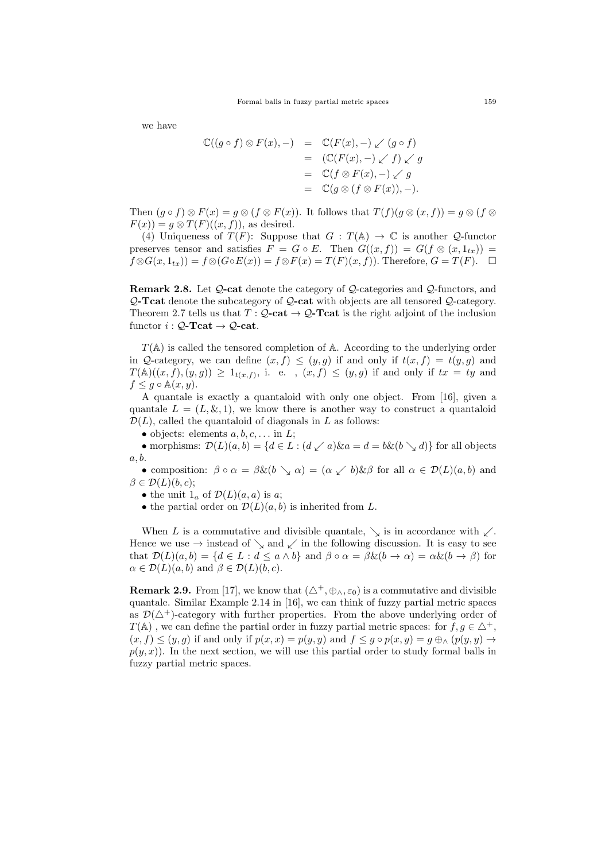we have

$$
\mathbb{C}((g \circ f) \otimes F(x), -) = \mathbb{C}(F(x), -) \swarrow (g \circ f)
$$
  
= 
$$
(\mathbb{C}(F(x), -) \swarrow f) \swarrow g
$$
  
= 
$$
\mathbb{C}(f \otimes F(x), -) \swarrow g
$$
  
= 
$$
\mathbb{C}(g \otimes (f \otimes F(x)), -).
$$

Then  $(g \circ f) \otimes F(x) = g \otimes (f \otimes F(x))$ . It follows that  $T(f)(g \otimes (x, f)) = g \otimes (f \otimes$  $F(x) = g \otimes T(F)((x, f))$ , as desired.

(4) Uniqueness of  $T(F)$ : Suppose that  $G: T(\mathbb{A}) \to \mathbb{C}$  is another  $\mathcal{Q}$ -functor preserves tensor and satisfies  $F = G \circ E$ . Then  $G((x, f)) = G(f \otimes (x, 1_{tx}))$  $f \otimes G(x, 1_{tx}) = f \otimes (G \circ E(x)) = f \otimes F(x) = T(F)(x, f)$ . Therefore,  $G = T(F)$ .  $\Box$ 

Remark 2.8. Let  $Q$ -cat denote the category of  $Q$ -categories and  $Q$ -functors, and Q-Tcat denote the subcategory of Q-cat with objects are all tensored Q-category. Theorem 2.7 tells us that  $T: Q$ -cat  $\rightarrow Q$ -Tcat is the right adjoint of the inclusion functor  $i: \mathcal{Q}\text{-}\mathbf{Tcat} \to \mathcal{Q}\text{-}\mathbf{cat}.$ 

 $T(A)$  is called the tensored completion of A. According to the underlying order in Q-category, we can define  $(x, f) \leq (y, g)$  if and only if  $t(x, f) = t(y, g)$  and  $T(\mathbb{A})((x, f), (y, g)) \geq 1_{t(x, f)},$  i. e.,  $(x, f) \leq (y, g)$  if and only if  $tx = ty$  and  $f \leq g \circ \mathbb{A}(x, y).$ 

A quantale is exactly a quantaloid with only one object. From [16], given a quantale  $L = (L, \& 1)$ , we know there is another way to construct a quantaloid  $\mathcal{D}(L)$ , called the quantaloid of diagonals in L as follows:

• objects: elements  $a, b, c, \ldots$  in  $L$ ;

• morphisms:  $\mathcal{D}(L)(a, b) = \{d \in L : (d \swarrow a) \& a = d = b \& (b \searrow d)\}\$ for all objects a, b.

• composition:  $\beta \circ \alpha = \beta \& (b \searrow \alpha) = (\alpha \swarrow b) \& \beta$  for all  $\alpha \in \mathcal{D}(L)(a, b)$  and  $\beta \in \mathcal{D}(L)(b, c);$ 

• the unit  $1_a$  of  $\mathcal{D}(L)(a, a)$  is a;

• the partial order on  $\mathcal{D}(L)(a, b)$  is inherited from L.

When L is a commutative and divisible quantale,  $\searrow$  is in accordance with  $\swarrow$ . Hence we use  $\rightarrow$  instead of  $\searrow$  and  $\swarrow$  in the following discussion. It is easy to see that  $\mathcal{D}(L)(a, b) = \{d \in L : d \leq a \wedge b\}$  and  $\beta \circ \alpha = \beta \& (b \to \alpha) = \alpha \& (b \to \beta)$  for  $\alpha \in \mathcal{D}(L)(a, b)$  and  $\beta \in \mathcal{D}(L)(b, c)$ .

**Remark 2.9.** From [17], we know that  $(\triangle^+, \oplus_\wedge, \varepsilon_0)$  is a commutative and divisible quantale. Similar Example 2.14 in [16], we can think of fuzzy partial metric spaces as  $\mathcal{D}(\triangle^+)$ -category with further properties. From the above underlying order of  $T(\mathbb{A})$ , we can define the partial order in fuzzy partial metric spaces: for  $f, g \in \Delta^+$ ,  $(x, f) \leq (y, g)$  if and only if  $p(x, x) = p(y, y)$  and  $f \leq g \circ p(x, y) = g \bigoplus_{\Delta} (p(y, y)) \rightarrow$  $p(y, x)$ ). In the next section, we will use this partial order to study formal balls in fuzzy partial metric spaces.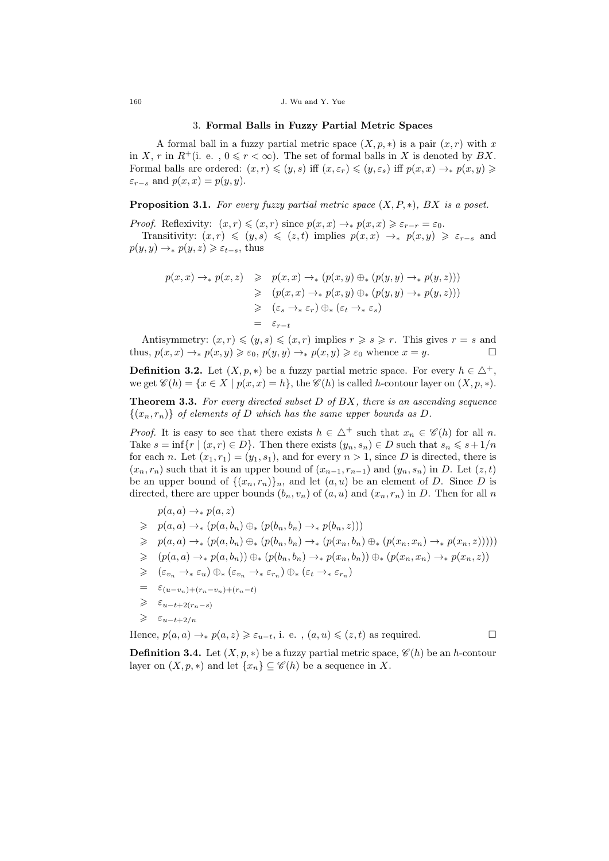#### 3. Formal Balls in Fuzzy Partial Metric Spaces

A formal ball in a fuzzy partial metric space  $(X, p, *)$  is a pair  $(x, r)$  with x in X, r in  $R^+$ (i. e.,  $0 \le r < \infty$ ). The set of formal balls in X is denoted by BX. Formal balls are ordered:  $(x, r) \leqslant (y, s)$  iff  $(x, \varepsilon_r) \leqslant (y, \varepsilon_s)$  iff  $p(x, x) \to p(x, y) \geqslant$  $\varepsilon_{r-s}$  and  $p(x, x) = p(y, y)$ .

# **Proposition 3.1.** For every fuzzy partial metric space  $(X, P, *)$ , BX is a poset.

*Proof.* Reflexivity:  $(x, r) \leqslant (x, r)$  since  $p(x, x) \to p(x, x) \geqslant \varepsilon_{r-r} = \varepsilon_0$ .

Transitivity:  $(x, r) \leq (y, s) \leq (z, t)$  implies  $p(x, x) \rightarrow p(x, y) \geq \varepsilon_{r-s}$  and  $p(y, y) \rightarrow_* p(y, z) \geq \varepsilon_{t-s}$ , thus

$$
p(x,x) \to_* p(x,z) \geq p(x,x) \to_* (p(x,y) \oplus_* (p(y,y) \to_* p(y,z)))
$$
  
\n
$$
\geq (p(x,x) \to_* p(x,y) \oplus_* (p(y,y) \to_* p(y,z)))
$$
  
\n
$$
\geq (\varepsilon_s \to_* \varepsilon_r) \oplus_* (\varepsilon_t \to_* \varepsilon_s)
$$
  
\n
$$
= \varepsilon_{r-t}
$$

Antisymmetry:  $(x, r) \leqslant (y, s) \leqslant (x, r)$  implies  $r \geqslant s \geqslant r$ . This gives  $r = s$  and thus,  $p(x, x) \rightarrow_* p(x, y) \geq \varepsilon_0$ ,  $p(y, y) \rightarrow_* p(x, y) \geq \varepsilon_0$  whence  $x = y$ .

**Definition 3.2.** Let  $(X, p, *)$  be a fuzzy partial metric space. For every  $h \in \Delta^+$ , we get  $\mathscr{C}(h) = \{x \in X \mid p(x,x) = h\}$ , the  $\mathscr{C}(h)$  is called h-contour layer on  $(X, p, *)$ .

**Theorem 3.3.** For every directed subset  $D$  of  $BX$ , there is an ascending sequence  $\{(x_n, r_n)\}\,$  of elements of D which has the same upper bounds as D.

*Proof.* It is easy to see that there exists  $h \in \Delta^+$  such that  $x_n \in \mathscr{C}(h)$  for all n. Take  $s = \inf\{r \mid (x, r) \in D\}$ . Then there exists  $(y_n, s_n) \in D$  such that  $s_n \leqslant s+1/n$ for each n. Let  $(x_1, r_1) = (y_1, s_1)$ , and for every  $n > 1$ , since D is directed, there is  $(x_n, r_n)$  such that it is an upper bound of  $(x_{n-1}, r_{n-1})$  and  $(y_n, s_n)$  in D. Let  $(z, t)$ be an upper bound of  $\{(x_n, r_n)\}_n$ , and let  $(a, u)$  be an element of D. Since D is directed, there are upper bounds  $(b_n, v_n)$  of  $(a, u)$  and  $(x_n, r_n)$  in D. Then for all n

$$
p(a,a) \to_* p(a,z)
$$

- $\geqslant p(a, a) \rightarrow_{\ast} (p(a, b_n) \oplus_{\ast} (p(b_n, b_n) \rightarrow_{\ast} p(b_n, z)))$
- $\geqslant p(a,a) \rightarrow_{\ast} (p(a,b_n) \oplus_{\ast} (p(b_n,b_n) \rightarrow_{\ast} (p(x_n,b_n) \oplus_{\ast} (p(x_n,x_n) \rightarrow_{\ast} p(x_n,z))))$
- $\geqslant (p(a, a) \rightarrow_{\ast} p(a, b_n)) \oplus_{\ast} (p(b_n, b_n) \rightarrow_{\ast} p(x_n, b_n)) \oplus_{\ast} (p(x_n, x_n) \rightarrow_{\ast} p(x_n, z))$
- $\geqslant$   $(\varepsilon_{v_n} \to_{*} \varepsilon_u) \oplus_{*} (\varepsilon_{v_n} \to_{*} \varepsilon_{r_n}) \oplus_{*} (\varepsilon_t \to_{*} \varepsilon_{r_n})$
- $=$   $\varepsilon_{(u-v_n)+(r_n-v_n)+(r_n-t)}$
- $\geqslant$   $\varepsilon_{u-t+2(r_n-s)}$
- $\geqslant$  ε<sub>u−t+2/n</sub>

Hence,  $p(a, a) \rightarrow_{*} p(a, z) \geq \varepsilon_{u-t}$ , i. e.,  $(a, u) \leq (z, t)$  as required.

**Definition 3.4.** Let  $(X, p, *)$  be a fuzzy partial metric space,  $\mathscr{C}(h)$  be an h-contour layer on  $(X, p, *)$  and let  $\{x_n\} \subseteq \mathscr{C}(h)$  be a sequence in X.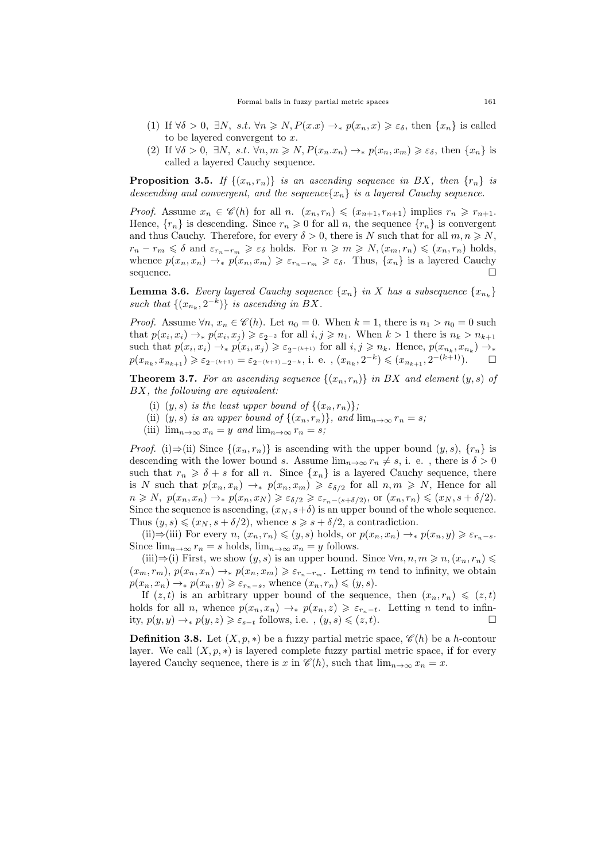- (1) If  $\forall \delta > 0$ ,  $\exists N$ ,  $s.t. \forall n \geq N$ ,  $P(x \cdot x) \rightarrow_* p(x_n, x) \geq \varepsilon_\delta$ , then  $\{x_n\}$  is called to be layered convergent to x.
- (2) If  $\forall \delta > 0$ ,  $\exists N$ , s.t.  $\forall n,m \geq N, P(x_n,x_n) \rightarrow_* p(x_n,x_m) \geq \varepsilon_{\delta}$ , then  $\{x_n\}$  is called a layered Cauchy sequence.

**Proposition 3.5.** If  $\{(x_n, r_n)\}\$ is an ascending sequence in BX, then  $\{r_n\}$  is descending and convergent, and the sequence ${x_n}$  is a layered Cauchy sequence.

*Proof.* Assume  $x_n \in \mathscr{C}(h)$  for all n.  $(x_n, r_n) \leq (x_{n+1}, r_{n+1})$  implies  $r_n \geq r_{n+1}$ . Hence,  ${r_n}$  is descending. Since  $r_n \geq 0$  for all n, the sequence  ${r_n}$  is convergent and thus Cauchy. Therefore, for every  $\delta > 0$ , there is N such that for all  $m, n \geq N$ ,  $r_n - r_m \leq \delta$  and  $\varepsilon_{r_n-r_m} \geq \varepsilon_\delta$  holds. For  $n \geq m \geq N$ ,  $(x_m, r_n) \leq (x_n, r_n)$  holds, whence  $p(x_n, x_n) \to \hat{p}(x_n, x_m) \geq \varepsilon_{r_n-r_m} \geq \varepsilon_\delta$ . Thus,  $\{x_n\}$  is a layered Cauchy sequence.

**Lemma 3.6.** Every layered Cauchy sequence  $\{x_n\}$  in X has a subsequence  $\{x_{n_k}\}$ such that  $\{(x_{n_k}, 2^{-k})\}$  is ascending in BX.

*Proof.* Assume  $\forall n, x_n \in \mathcal{C}(h)$ . Let  $n_0 = 0$ . When  $k = 1$ , there is  $n_1 > n_0 = 0$  such that  $p(x_i, x_i) \to p(x_i, x_j) \geq \varepsilon_{2^{-2}}$  for all  $i, j \geq n_1$ . When  $k > 1$  there is  $n_k > n_{k+1}$ such that  $p(x_i, x_i) \to p(x_i, x_j) \geq \varepsilon_{2^{-(k+1)}}$  for all  $i, j \geq n_k$ . Hence,  $p(x_{n_k}, x_{n_k}) \to p(x_{n_k}, x_{n_k})$  $p(x_{n_k}, x_{n_{k+1}}) \geqslant \varepsilon_{2^{-(k+1)}} = \varepsilon_{2^{-(k+1)}-2^{-k}}, \text{ i. e. }, (x_{n_k}, 2^{-k}) \leqslant (x_{n_{k+1}}, 2^{-(k+1)}).$ 

**Theorem 3.7.** For an ascending sequence  $\{(x_n, r_n)\}\$ in BX and element  $(y, s)$  of BX, the following are equivalent:

- (i)  $(y, s)$  is the least upper bound of  $\{(x_n, r_n)\};$
- (ii)  $(y, s)$  is an upper bound of  $\{(x_n, r_n)\}\$ , and  $\lim_{n\to\infty} r_n = s$ ;
- (iii)  $\lim_{n\to\infty} x_n = y$  and  $\lim_{n\to\infty} r_n = s$ ;

*Proof.* (i)⇒(ii) Since  $\{(x_n, r_n)\}\$ is ascending with the upper bound  $(y, s)$ ,  $\{r_n\}$  is descending with the lower bound s. Assume  $\lim_{n\to\infty} r_n \neq s$ , i. e., there is  $\delta > 0$ such that  $r_n \geq \delta + s$  for all n. Since  $\{x_n\}$  is a layered Cauchy sequence, there is N such that  $p(x_n, x_n) \to p(x_n, x_m) \geq \varepsilon_{\delta/2}$  for all  $n, m \geq N$ , Hence for all  $n \geq N$ ,  $p(x_n, x_n) \to p(x_n, x_N) \geq \varepsilon_{\delta/2} \geq \varepsilon_{r_n-(s+\delta/2)},$  or  $(x_n, r_n) \leq (x_N, s+\delta/2).$ Since the sequence is ascending,  $(x_N, s+\delta)$  is an upper bound of the whole sequence. Thus  $(y, s) \leq (x_N, s + \delta/2)$ , whence  $s \geq s + \delta/2$ , a contradiction.

(ii)⇒(iii) For every  $n, (x_n, r_n) \leqslant (y, s)$  holds, or  $p(x_n, x_n) \to p(x_n, y) \geqslant \varepsilon_{r_n-s}$ . Since  $\lim_{n\to\infty} r_n = s$  holds,  $\lim_{n\to\infty} x_n = y$  follows.

(iii)⇒(i) First, we show  $(y, s)$  is an upper bound. Since  $\forall m, n, m \geq n, (x_n, r_n) \leq$  $(x_m, r_m)$ ,  $p(x_n, x_n) \rightarrow_* p(x_n, x_m) \geq \varepsilon_{r_n-r_m}$ . Letting m tend to infinity, we obtain  $p(x_n, x_n) \to_* p(x_n, y) \geq \varepsilon_{r_n-s}$ , whence  $(x_n, r_n) \leq (y, s)$ .

If  $(z, t)$  is an arbitrary upper bound of the sequence, then  $(x_n, r_n) \leqslant (z, t)$ holds for all n, whence  $p(x_n, x_n) \to p(x_n, z) \geq \varepsilon_{r_n-t}$ . Letting n tend to infinity,  $p(y, y) \rightarrow_* p(y, z) \geq \varepsilon_{s-t}$  follows, i.e.,  $(y, s) \leq (z, t)$ .

**Definition 3.8.** Let  $(X, p, *)$  be a fuzzy partial metric space,  $\mathscr{C}(h)$  be a h-contour layer. We call  $(X, p, *)$  is layered complete fuzzy partial metric space, if for every layered Cauchy sequence, there is x in  $\mathscr{C}(h)$ , such that  $\lim_{n\to\infty}x_n=x$ .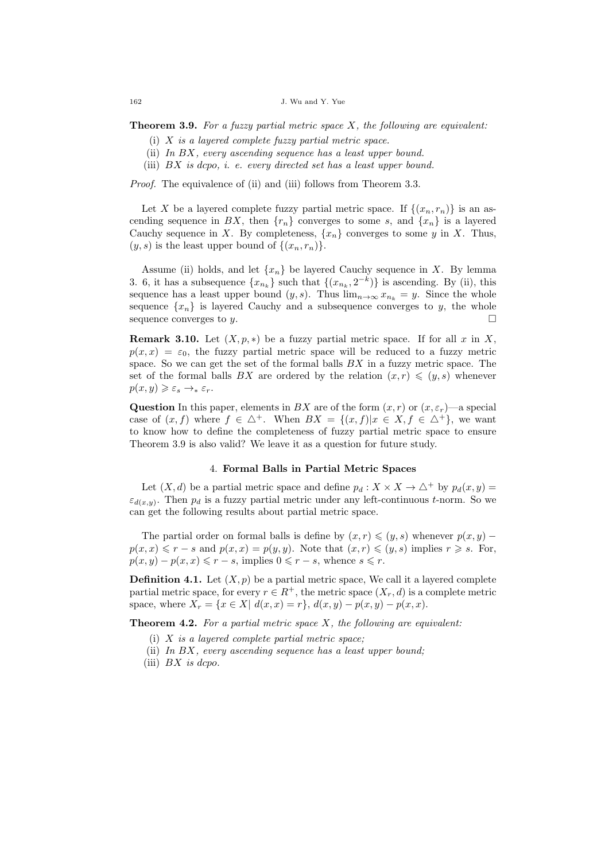**Theorem 3.9.** For a fuzzy partial metric space  $X$ , the following are equivalent:

- (i) X is a layered complete fuzzy partial metric space.
- (ii) In BX, every ascending sequence has a least upper bound.
- (iii)  $BX$  is dcpo, i. e. every directed set has a least upper bound.

Proof. The equivalence of (ii) and (iii) follows from Theorem 3.3.

Let X be a layered complete fuzzy partial metric space. If  $\{(x_n, r_n)\}\$ is an ascending sequence in BX, then  ${r_n}$  converges to some s, and  ${x_n}$  is a layered Cauchy sequence in X. By completeness,  $\{x_n\}$  converges to some y in X. Thus,  $(y, s)$  is the least upper bound of  $\{(x_n, r_n)\}.$ 

Assume (ii) holds, and let  $\{x_n\}$  be layered Cauchy sequence in X. By lemma 3. 6, it has a subsequence  $\{x_{n_k}\}$  such that  $\{(x_{n_k}, 2^{-k})\}$  is ascending. By (ii), this sequence has a least upper bound  $(y, s)$ . Thus  $\lim_{n\to\infty} x_{n_k} = y$ . Since the whole sequence  $\{x_n\}$  is layered Cauchy and a subsequence converges to y, the whole sequence converges to y.

**Remark 3.10.** Let  $(X, p, *)$  be a fuzzy partial metric space. If for all x in X,  $p(x, x) = \varepsilon_0$ , the fuzzy partial metric space will be reduced to a fuzzy metric space. So we can get the set of the formal balls  $BX$  in a fuzzy metric space. The set of the formal balls BX are ordered by the relation  $(x, r) \leqslant (y, s)$  whenever  $p(x,y) \geqslant \varepsilon_s \rightarrow_* \varepsilon_r.$ 

**Question** In this paper, elements in BX are of the form  $(x, r)$  or  $(x, \varepsilon_r)$ —a special case of  $(x, f)$  where  $f \in \Delta^+$ . When  $BX = \{(x, f)|x \in X, f \in \Delta^+\}$ , we want to know how to define the completeness of fuzzy partial metric space to ensure Theorem 3.9 is also valid? We leave it as a question for future study.

## 4. Formal Balls in Partial Metric Spaces

Let  $(X, d)$  be a partial metric space and define  $p_d : X \times X \to \triangle^+$  by  $p_d(x, y) =$  $\varepsilon_{d(x,y)}$ . Then  $p_d$  is a fuzzy partial metric under any left-continuous t-norm. So we can get the following results about partial metric space.

The partial order on formal balls is define by  $(x, r) \leqslant (y, s)$  whenever  $p(x, y)$  –  $p(x, x) \leq r - s$  and  $p(x, x) = p(y, y)$ . Note that  $(x, r) \leq (y, s)$  implies  $r \geq s$ . For,  $p(x, y) - p(x, x) \leq r - s$ , implies  $0 \leq r - s$ , whence  $s \leq r$ .

**Definition 4.1.** Let  $(X, p)$  be a partial metric space, We call it a layered complete partial metric space, for every  $r \in R^+$ , the metric space  $(X_r, d)$  is a complete metric space, where  $X_r = \{x \in X | d(x, x) = r\}, d(x, y) - p(x, y) - p(x, x).$ 

**Theorem 4.2.** For a partial metric space  $X$ , the following are equivalent:

- (i)  $X$  is a layered complete partial metric space;
- (ii) In  $BX$ , every ascending sequence has a least upper bound;
- (iii)  $BX$  is dcpo.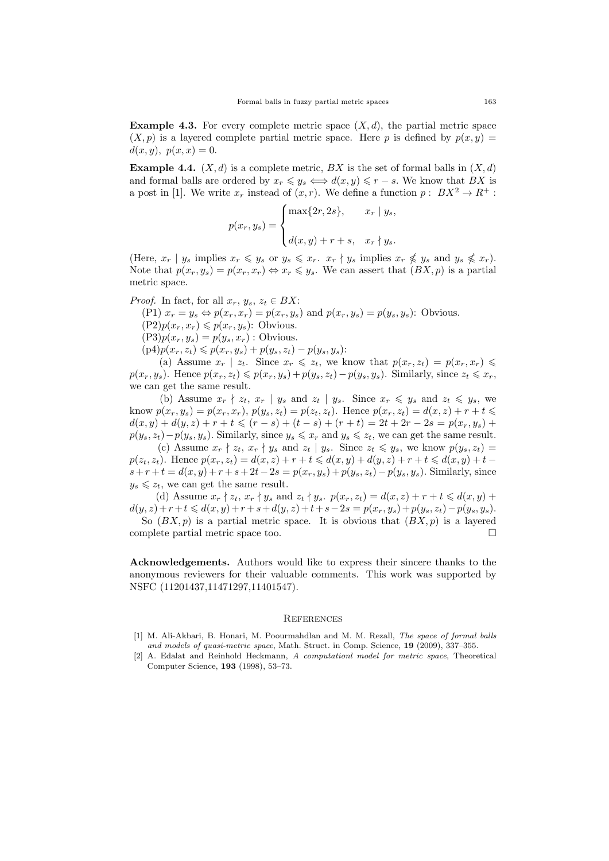**Example 4.3.** For every complete metric space  $(X, d)$ , the partial metric space  $(X, p)$  is a layered complete partial metric space. Here p is defined by  $p(x, y) =$  $d(x, y), p(x, x) = 0.$ 

**Example 4.4.**  $(X, d)$  is a complete metric, BX is the set of formal balls in  $(X, d)$ and formal balls are ordered by  $x_r \leq y_s \iff d(x, y) \leq r - s$ . We know that BX is a post in [1]. We write  $x_r$  instead of  $(x, r)$ . We define a function  $p: BX^2 \to R^+$ :

$$
p(x_r, y_s) = \begin{cases} \max\{2r, 2s\}, & x_r \mid y_s, \\ d(x, y) + r + s, & x_r \nmid y_s. \end{cases}
$$

(Here,  $x_r | y_s$  implies  $x_r \leq y_s$  or  $y_s \leq x_r$ .  $x_r \nmid y_s$  implies  $x_r \nleq y_s$  and  $y_s \nleq x_r$ ). Note that  $p(x_r, y_s) = p(x_r, x_r) \Leftrightarrow x_r \leq y_s$ . We can assert that  $(BX, p)$  is a partial metric space.

*Proof.* In fact, for all  $x_r$ ,  $y_s$ ,  $z_t \in BX$ :

(P1)  $x_r = y_s \Leftrightarrow p(x_r, x_r) = p(x_r, y_s)$  and  $p(x_r, y_s) = p(y_s, y_s)$ : Obvious.

 $(P2)p(x_r, x_r) \leqslant p(x_r, y_s)$ : Obvious.

 $(P3)p(x_r, y_s) = p(y_s, x_r)$ : Obvious.

 $(p4)p(x_r, z_t) \leqslant p(x_r, y_s) + p(y_s, z_t) - p(y_s, y_s)$ :

(a) Assume  $x_r \mid z_t$ . Since  $x_r \leq z_t$ , we know that  $p(x_r, z_t) = p(x_r, x_r) \leq$  $p(x_r, y_s)$ . Hence  $p(x_r, z_t) \leqslant p(x_r, y_s) + p(y_s, z_t) - p(y_s, y_s)$ . Similarly, since  $z_t \leqslant x_r$ , we can get the same result.

(b) Assume  $x_r \nmid z_t, x_r \mid y_s$  and  $z_t \mid y_s$ . Since  $x_r \leq y_s$  and  $z_t \leq y_s$ , we know  $p(x_r, y_s) = p(x_r, x_r)$ ,  $p(y_s, z_t) = p(z_t, z_t)$ . Hence  $p(x_r, z_t) = d(x, z) + r + t \leq$  $d(x, y) + d(y, z) + r + t \leq (r - s) + (t - s) + (r + t) = 2t + 2r - 2s = p(x_r, y_s) +$  $p(y_s, z_t) - p(y_s, y_s)$ . Similarly, since  $y_s \leq x_r$  and  $y_s \leq z_t$ , we can get the same result.

(c) Assume  $x_r \nmid z_t, x_r \nmid y_s$  and  $z_t \mid y_s$ . Since  $z_t \leq y_s$ , we know  $p(y_s, z_t) =$  $p(z_t, z_t)$ . Hence  $p(x_r, z_t) = d(x, z) + r + t \leq d(x, y) + d(y, z) + r + t \leq d(x, y) + t - t$  $s+r+t = d(x, y) + r + s + 2t - 2s = p(x_r, y_s) + p(y_s, z_t) - p(y_s, y_s)$ . Similarly, since  $y_s \leq z_t$ , we can get the same result.

(d) Assume  $x_r \nmid z_t, x_r \nmid y_s$  and  $z_t \nmid y_s$ .  $p(x_r, z_t) = d(x, z) + r + t \leq d(x, y) +$  $d(y, z) + r + t \leq d(x, y) + r + s + d(y, z) + t + s - 2s = p(x_r, y_s) + p(y_s, z_t) - p(y_s, y_s).$ So  $(BX, p)$  is a partial metric space. It is obvious that  $(BX, p)$  is a layered

complete partial metric space too.

Acknowledgements. Authors would like to express their sincere thanks to the anonymous reviewers for their valuable comments. This work was supported by NSFC (11201437,11471297,11401547).

#### **REFERENCES**

- [1] M. Ali-Akbari, B. Honari, M. Poourmahdlan and M. M. Rezall, The space of formal balls and models of quasi-metric space, Math. Struct. in Comp. Science, 19 (2009), 337–355.
- [2] A. Edalat and Reinhold Heckmann, A computationl model for metric space, Theoretical Computer Science, 193 (1998), 53–73.